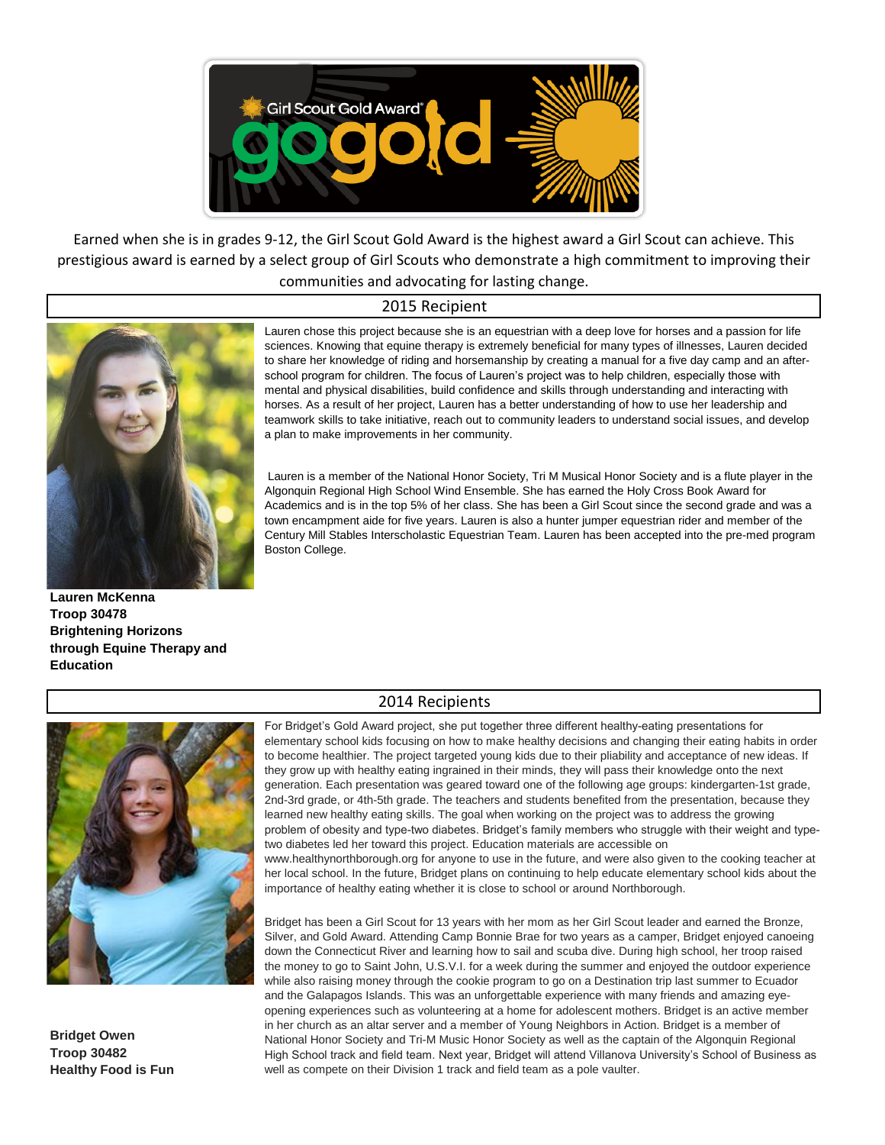

Earned when she is in grades 9-12, the Girl Scout Gold Award is the highest award a Girl Scout can achieve. This prestigious award is earned by a select group of Girl Scouts who demonstrate a high commitment to improving their communities and advocating for lasting change.

## 2015 Recipient



**Lauren McKenna Troop 30478 Brightening Horizons through Equine Therapy and Education**

Lauren chose this project because she is an equestrian with a deep love for horses and a passion for life sciences. Knowing that equine therapy is extremely beneficial for many types of illnesses, Lauren decided to share her knowledge of riding and horsemanship by creating a manual for a five day camp and an afterschool program for children. The focus of Lauren's project was to help children, especially those with mental and physical disabilities, build confidence and skills through understanding and interacting with horses. As a result of her project, Lauren has a better understanding of how to use her leadership and teamwork skills to take initiative, reach out to community leaders to understand social issues, and develop a plan to make improvements in her community.

 Lauren is a member of the National Honor Society, Tri M Musical Honor Society and is a flute player in the Algonquin Regional High School Wind Ensemble. She has earned the Holy Cross Book Award for Academics and is in the top 5% of her class. She has been a Girl Scout since the second grade and was a town encampment aide for five years. Lauren is also a hunter jumper equestrian rider and member of the Century Mill Stables Interscholastic Equestrian Team. Lauren has been accepted into the pre-med program Boston College.



**Bridget Owen Troop 30482 Healthy Food is Fun**

## 2014 Recipients

For Bridget's Gold Award project, she put together three different healthy-eating presentations for elementary school kids focusing on how to make healthy decisions and changing their eating habits in order to become healthier. The project targeted young kids due to their pliability and acceptance of new ideas. If they grow up with healthy eating ingrained in their minds, they will pass their knowledge onto the next generation. Each presentation was geared toward one of the following age groups: kindergarten-1st grade, 2nd-3rd grade, or 4th-5th grade. The teachers and students benefited from the presentation, because they learned new healthy eating skills. The goal when working on the project was to address the growing problem of obesity and type-two diabetes. Bridget's family members who struggle with their weight and typetwo diabetes led her toward this project. Education materials are accessible on www.healthynorthborough.org for anyone to use in the future, and were also given to the cooking teacher at

her local school. In the future, Bridget plans on continuing to help educate elementary school kids about the importance of healthy eating whether it is close to school or around Northborough.

Bridget has been a Girl Scout for 13 years with her mom as her Girl Scout leader and earned the Bronze, Silver, and Gold Award. Attending Camp Bonnie Brae for two years as a camper, Bridget enjoyed canoeing down the Connecticut River and learning how to sail and scuba dive. During high school, her troop raised the money to go to Saint John, U.S.V.I. for a week during the summer and enjoyed the outdoor experience while also raising money through the cookie program to go on a Destination trip last summer to Ecuador and the Galapagos Islands. This was an unforgettable experience with many friends and amazing eyeopening experiences such as volunteering at a home for adolescent mothers. Bridget is an active member in her church as an altar server and a member of Young Neighbors in Action. Bridget is a member of National Honor Society and Tri-M Music Honor Society as well as the captain of the Algonquin Regional High School track and field team. Next year, Bridget will attend Villanova University's School of Business as well as compete on their Division 1 track and field team as a pole vaulter.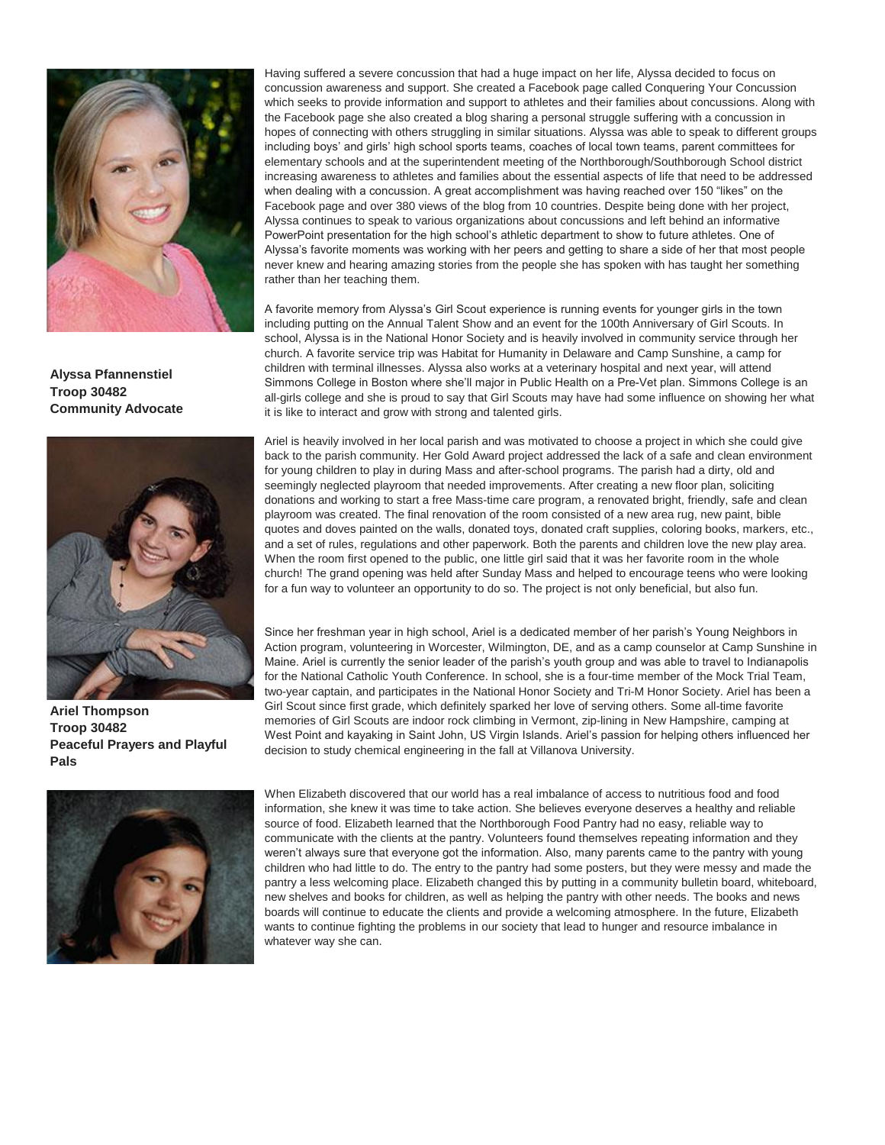

**Alyssa Pfannenstiel Troop 30482 Community Advocate**



**Ariel Thompson Troop 30482 Peaceful Prayers and Playful Pals**



Having suffered a severe concussion that had a huge impact on her life, Alyssa decided to focus on concussion awareness and support. She created a Facebook page called Conquering Your Concussion which seeks to provide information and support to athletes and their families about concussions. Along with the Facebook page she also created a blog sharing a personal struggle suffering with a concussion in hopes of connecting with others struggling in similar situations. Alyssa was able to speak to different groups including boys' and girls' high school sports teams, coaches of local town teams, parent committees for elementary schools and at the superintendent meeting of the Northborough/Southborough School district increasing awareness to athletes and families about the essential aspects of life that need to be addressed when dealing with a concussion. A great accomplishment was having reached over 150 "likes" on the Facebook page and over 380 views of the blog from 10 countries. Despite being done with her project, Alyssa continues to speak to various organizations about concussions and left behind an informative PowerPoint presentation for the high school's athletic department to show to future athletes. One of Alyssa's favorite moments was working with her peers and getting to share a side of her that most people never knew and hearing amazing stories from the people she has spoken with has taught her something rather than her teaching them.

A favorite memory from Alyssa's Girl Scout experience is running events for younger girls in the town including putting on the Annual Talent Show and an event for the 100th Anniversary of Girl Scouts. In school, Alyssa is in the National Honor Society and is heavily involved in community service through her church. A favorite service trip was Habitat for Humanity in Delaware and Camp Sunshine, a camp for children with terminal illnesses. Alyssa also works at a veterinary hospital and next year, will attend Simmons College in Boston where she'll major in Public Health on a Pre-Vet plan. Simmons College is an all-girls college and she is proud to say that Girl Scouts may have had some influence on showing her what it is like to interact and grow with strong and talented girls.

Ariel is heavily involved in her local parish and was motivated to choose a project in which she could give back to the parish community. Her Gold Award project addressed the lack of a safe and clean environment for young children to play in during Mass and after-school programs. The parish had a dirty, old and seemingly neglected playroom that needed improvements. After creating a new floor plan, soliciting donations and working to start a free Mass-time care program, a renovated bright, friendly, safe and clean playroom was created. The final renovation of the room consisted of a new area rug, new paint, bible quotes and doves painted on the walls, donated toys, donated craft supplies, coloring books, markers, etc., and a set of rules, regulations and other paperwork. Both the parents and children love the new play area. When the room first opened to the public, one little girl said that it was her favorite room in the whole church! The grand opening was held after Sunday Mass and helped to encourage teens who were looking for a fun way to volunteer an opportunity to do so. The project is not only beneficial, but also fun.

Since her freshman year in high school, Ariel is a dedicated member of her parish's Young Neighbors in Action program, volunteering in Worcester, Wilmington, DE, and as a camp counselor at Camp Sunshine in Maine. Ariel is currently the senior leader of the parish's youth group and was able to travel to Indianapolis for the National Catholic Youth Conference. In school, she is a four-time member of the Mock Trial Team, two-year captain, and participates in the National Honor Society and Tri-M Honor Society. Ariel has been a Girl Scout since first grade, which definitely sparked her love of serving others. Some all-time favorite memories of Girl Scouts are indoor rock climbing in Vermont, zip-lining in New Hampshire, camping at West Point and kayaking in Saint John, US Virgin Islands. Ariel's passion for helping others influenced her decision to study chemical engineering in the fall at Villanova University.

When Elizabeth discovered that our world has a real imbalance of access to nutritious food and food information, she knew it was time to take action. She believes everyone deserves a healthy and reliable source of food. Elizabeth learned that the Northborough Food Pantry had no easy, reliable way to communicate with the clients at the pantry. Volunteers found themselves repeating information and they weren't always sure that everyone got the information. Also, many parents came to the pantry with young children who had little to do. The entry to the pantry had some posters, but they were messy and made the pantry a less welcoming place. Elizabeth changed this by putting in a community bulletin board, whiteboard, new shelves and books for children, as well as helping the pantry with other needs. The books and news boards will continue to educate the clients and provide a welcoming atmosphere. In the future, Elizabeth wants to continue fighting the problems in our society that lead to hunger and resource imbalance in whatever way she can.